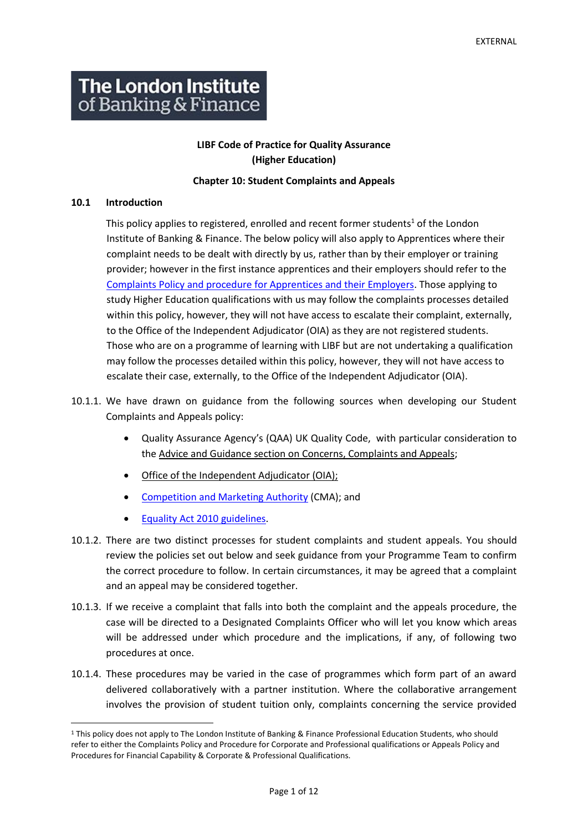# **The London Institute** of Banking & Finance

## **LIBF Code of Practice for Quality Assurance (Higher Education)**

#### **Chapter 10: Student Complaints and Appeals**

#### **10.1 Introduction**

This policy applies to registered, enrolled and recent former students<sup>1</sup> of the London Institute of Banking & Finance. The below policy will also apply to Apprentices where their complaint needs to be dealt with directly by us, rather than by their employer or training provider; however in the first instance apprentices and their employers should refer to the [Complaints Policy and procedure for Apprentices and their Employers.](https://www.libf.ac.uk/docs/default-source/apprenticeships/complaints-policy-for-apprentices-and-their-employers-v6.pdf?sfvrsn=54e3278d_2) Those applying to study Higher Education qualifications with us may follow the complaints processes detailed within this policy, however, they will not have access to escalate their complaint, externally, to the Office of the Independent Adjudicator (OIA) as they are not registered students. Those who are on a programme of learning with LIBF but are not undertaking a qualification may follow the processes detailed within this policy, however, they will not have access to escalate their case, externally, to the Office of the Independent Adjudicator (OIA).

- 10.1.1. We have drawn on guidance from the following sources when developing our Student Complaints and Appeals policy:
	- Quality Assurance Agency's (QAA) UK Quality Code, with particular consideration to the Advice and Guidance section on [Concerns, Complaints and Appeals;](https://www.qaa.ac.uk/quality-code/advice-and-guidance/concerns-complaints-and-appeals)
	- [Office of the Independent Adjudicator \(OIA\);](http://www.oiahe.org.uk/)
	- [Competition and Marketing Authority](https://www.gov.uk/government/organisations/competition-and-markets-authority) (CMA); and
	- [Equality Act 2010 guidelines.](https://www.gov.uk/guidance/equality-act-2010-guidance)
- 10.1.2. There are two distinct processes for student complaints and student appeals. You should review the policies set out below and seek guidance from your Programme Team to confirm the correct procedure to follow. In certain circumstances, it may be agreed that a complaint and an appeal may be considered together.
- 10.1.3. If we receive a complaint that falls into both the complaint and the appeals procedure, the case will be directed to a Designated Complaints Officer who will let you know which areas will be addressed under which procedure and the implications, if any, of following two procedures at once.
- 10.1.4. These procedures may be varied in the case of programmes which form part of an award delivered collaboratively with a partner institution. Where the collaborative arrangement involves the provision of student tuition only, complaints concerning the service provided

<sup>1</sup> This policy does not apply to The London Institute of Banking & Finance Professional Education Students, who should refer to either the Complaints Policy and Procedure for Corporate and Professional qualifications or Appeals Policy and Procedures for Financial Capability & Corporate & Professional Qualifications.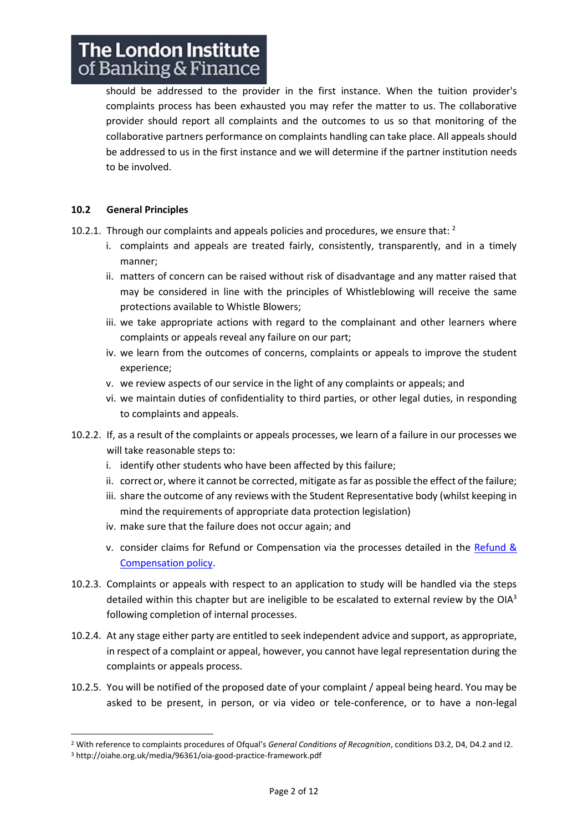should be addressed to the provider in the first instance. When the tuition provider's complaints process has been exhausted you may refer the matter to us. The collaborative provider should report all complaints and the outcomes to us so that monitoring of the collaborative partners performance on complaints handling can take place. All appeals should be addressed to us in the first instance and we will determine if the partner institution needs to be involved.

## **10.2 General Principles**

- 10.2.1. Through our complaints and appeals policies and procedures, we ensure that:  $2^2$ 
	- i. complaints and appeals are treated fairly, consistently, transparently, and in a timely manner;
	- ii. matters of concern can be raised without risk of disadvantage and any matter raised that may be considered in line with the principles of Whistleblowing will receive the same protections available to Whistle Blowers;
	- iii. we take appropriate actions with regard to the complainant and other learners where complaints or appeals reveal any failure on our part;
	- iv. we learn from the outcomes of concerns, complaints or appeals to improve the student experience;
	- v. we review aspects of our service in the light of any complaints or appeals; and
	- vi. we maintain duties of confidentiality to third parties, or other legal duties, in responding to complaints and appeals.
- 10.2.2. If, as a result of the complaints or appeals processes, we learn of a failure in our processes we will take reasonable steps to:
	- i. identify other students who have been affected by this failure;
	- ii. correct or, where it cannot be corrected, mitigate as far as possible the effect of the failure;
	- iii. share the outcome of any reviews with the Student Representative body (whilst keeping in mind the requirements of appropriate data protection legislation)
	- iv. make sure that the failure does not occur again; and
	- v. consider claims for Refund or Compensation via the processes detailed in the [Refund &](https://www.libf.ac.uk/docs/default-source/About-us-docs/libf-refund-and-compensation-policy.pdf)  [Compensation policy.](https://www.libf.ac.uk/docs/default-source/About-us-docs/libf-refund-and-compensation-policy.pdf)
- 10.2.3. Complaints or appeals with respect to an application to study will be handled via the steps detailed within this chapter but are ineligible to be escalated to external review by the OIA $3$ following completion of internal processes.
- 10.2.4. At any stage either party are entitled to seek independent advice and support, as appropriate, in respect of a complaint or appeal, however, you cannot have legal representation during the complaints or appeals process.
- 10.2.5. You will be notified of the proposed date of your complaint / appeal being heard. You may be asked to be present, in person, or via video or tele-conference, or to have a non-legal

<sup>2</sup> With reference to complaints procedures of Ofqual's *General Conditions of Recognition*, conditions D3.2, D4, D4.2 and I2. <sup>3</sup> http://oiahe.org.uk/media/96361/oia-good-practice-framework.pdf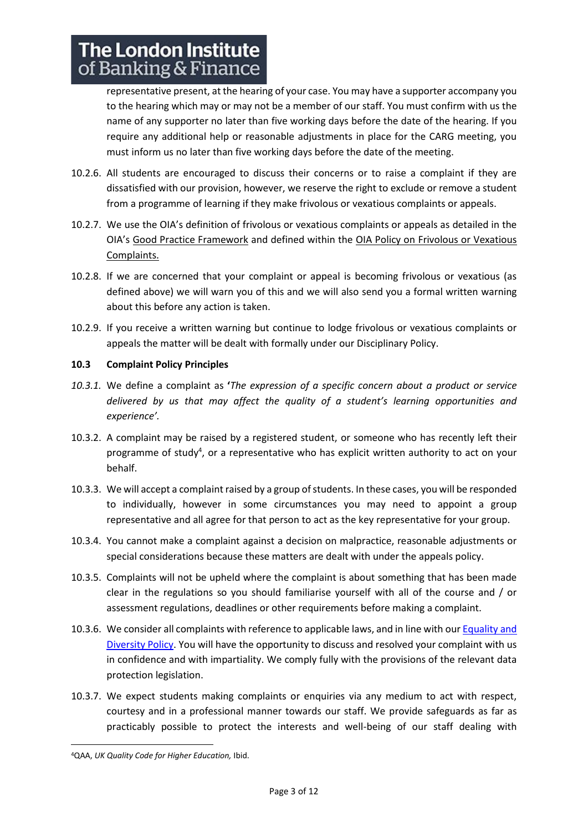representative present, at the hearing of your case. You may have a supporter accompany you to the hearing which may or may not be a member of our staff. You must confirm with us the name of any supporter no later than five working days before the date of the hearing. If you require any additional help or reasonable adjustments in place for the CARG meeting, you must inform us no later than five working days before the date of the meeting.

- 10.2.6. All students are encouraged to discuss their concerns or to raise a complaint if they are dissatisfied with our provision, however, we reserve the right to exclude or remove a student from a programme of learning if they make frivolous or vexatious complaints or appeals.
- 10.2.7. We use the OIA's definition of frivolous or vexatious complaints or appeals as detailed in the OIA's [Good Practice Framework](http://oiahe.org.uk/media/96361/oia-good-practice-framework.pdf) and defined within the [OIA Policy on Frivolous or Vexatious](http://www.oiahe.org.uk/about-us/policies/policy-on-frivolous-or-vexatious-complaints.aspx)  [Complaints.](http://www.oiahe.org.uk/about-us/policies/policy-on-frivolous-or-vexatious-complaints.aspx)
- 10.2.8. If we are concerned that your complaint or appeal is becoming frivolous or vexatious (as defined above) we will warn you of this and we will also send you a formal written warning about this before any action is taken.
- 10.2.9. If you receive a written warning but continue to lodge frivolous or vexatious complaints or appeals the matter will be dealt with formally under our Disciplinary Policy.

## **10.3 Complaint Policy Principles**

- *10.3.1.* We define a complaint as **'***The expression of a specific concern about a product or service delivered by us that may affect the quality of a student's learning opportunities and experience'.*
- 10.3.2. A complaint may be raised by a registered student, or someone who has recently left their programme of study<sup>4</sup>, or a representative who has explicit written authority to act on your behalf.
- 10.3.3. We will accept a complaint raised by a group of students. In these cases, you will be responded to individually, however in some circumstances you may need to appoint a group representative and all agree for that person to act as the key representative for your group.
- 10.3.4. You cannot make a complaint against a decision on malpractice, reasonable adjustments or special considerations because these matters are dealt with under the appeals policy.
- 10.3.5. Complaints will not be upheld where the complaint is about something that has been made clear in the regulations so you should familiarise yourself with all of the course and / or assessment regulations, deadlines or other requirements before making a complaint.
- 10.3.6. We consider all complaints with reference to applicable laws, and in line with ou[r Equality and](https://www.libf.ac.uk/docs/default-source/About-us-docs/equality-and-diversity-policy.pdf?sfvrsn=db34408d_12)  [Diversity Policy.](https://www.libf.ac.uk/docs/default-source/About-us-docs/equality-and-diversity-policy.pdf?sfvrsn=db34408d_12) You will have the opportunity to discuss and resolved your complaint with us in confidence and with impartiality. We comply fully with the provisions of the relevant data protection legislation.
- 10.3.7. We expect students making complaints or enquiries via any medium to act with respect, courtesy and in a professional manner towards our staff. We provide safeguards as far as practicably possible to protect the interests and well-being of our staff dealing with

<sup>4</sup>QAA, *UK Quality Code for Higher Education,* Ibid.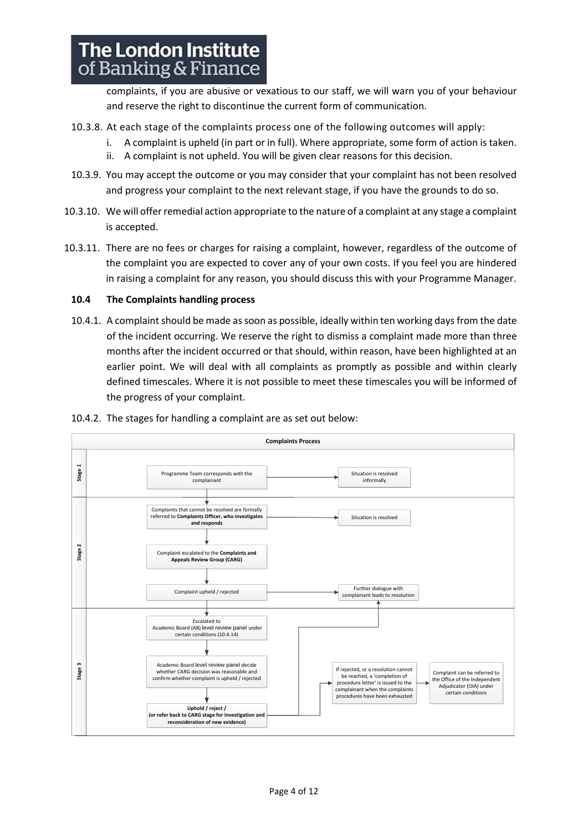complaints, if you are abusive or vexatious to our staff, we will warn you of your behaviour and reserve the right to discontinue the current form of communication.

- 10.3.8. At each stage of the complaints process one of the following outcomes will apply:
	- i. A complaint is upheld (in part or in full). Where appropriate, some form of action is taken.
	- ii. A complaint is not upheld. You will be given clear reasons for this decision.
- 10.3.9. You may accept the outcome or you may consider that your complaint has not been resolved and progress your complaint to the next relevant stage, if you have the grounds to do so.
- 10.3.10. We will offer remedial action appropriate to the nature of a complaint at any stage a complaint is accepted.
- 10.3.11. There are no fees or charges for raising a complaint, however, regardless of the outcome of the complaint you are expected to cover any of your own costs. If you feel you are hindered in raising a complaint for any reason, you should discuss this with your Programme Manager.

## **10.4 The Complaints handling process**

10.4.1. A complaint should be made as soon as possible, ideally within ten working daysfrom the date of the incident occurring. We reserve the right to dismiss a complaint made more than three months after the incident occurred or that should, within reason, have been highlighted at an earlier point. We will deal with all complaints as promptly as possible and within clearly defined timescales. Where it is not possible to meet these timescales you will be informed of the progress of your complaint.



10.4.2. The stages for handling a complaint are as set out below: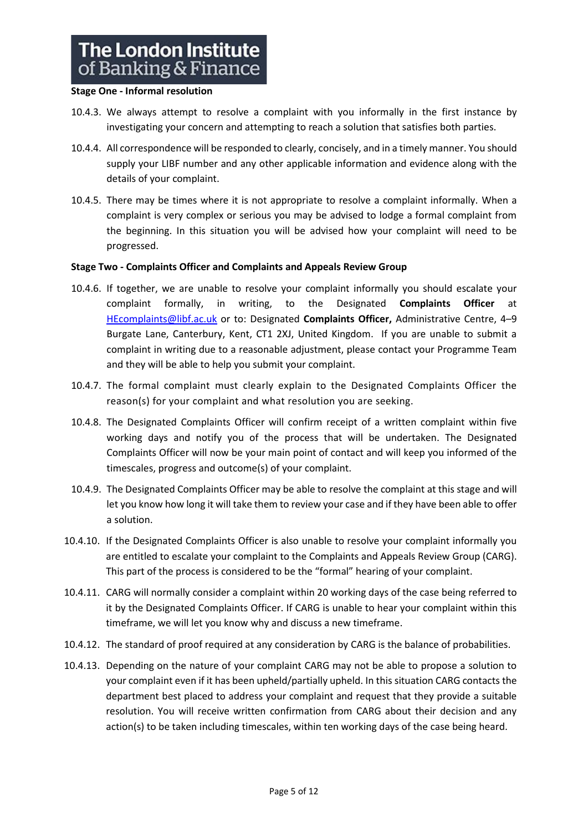#### **Stage One - Informal resolution**

- 10.4.3. We always attempt to resolve a complaint with you informally in the first instance by investigating your concern and attempting to reach a solution that satisfies both parties.
- 10.4.4. All correspondence will be responded to clearly, concisely, and in a timely manner. You should supply your LIBF number and any other applicable information and evidence along with the details of your complaint.
- 10.4.5. There may be times where it is not appropriate to resolve a complaint informally. When a complaint is very complex or serious you may be advised to lodge a formal complaint from the beginning. In this situation you will be advised how your complaint will need to be progressed.

## **Stage Two - Complaints Officer and Complaints and Appeals Review Group**

- 10.4.6. If together, we are unable to resolve your complaint informally you should escalate your complaint formally, in writing, to the Designated **Complaints Officer** at [HEcomplaints@libf.ac.uk](mailto:HEcomplaints@libf.ac.uk) or to: Designated **Complaints Officer,** Administrative Centre, 4–9 Burgate Lane, Canterbury, Kent, CT1 2XJ, United Kingdom. If you are unable to submit a complaint in writing due to a reasonable adjustment, please contact your Programme Team and they will be able to help you submit your complaint.
- 10.4.7. The formal complaint must clearly explain to the Designated Complaints Officer the reason(s) for your complaint and what resolution you are seeking.
- 10.4.8. The Designated Complaints Officer will confirm receipt of a written complaint within five working days and notify you of the process that will be undertaken. The Designated Complaints Officer will now be your main point of contact and will keep you informed of the timescales, progress and outcome(s) of your complaint.
- 10.4.9. The Designated Complaints Officer may be able to resolve the complaint at this stage and will let you know how long it will take them to review your case and if they have been able to offer a solution.
- 10.4.10. If the Designated Complaints Officer is also unable to resolve your complaint informally you are entitled to escalate your complaint to the Complaints and Appeals Review Group (CARG). This part of the process is considered to be the "formal" hearing of your complaint.
- 10.4.11. CARG will normally consider a complaint within 20 working days of the case being referred to it by the Designated Complaints Officer. If CARG is unable to hear your complaint within this timeframe, we will let you know why and discuss a new timeframe.
- 10.4.12. The standard of proof required at any consideration by CARG is the balance of probabilities.
- 10.4.13. Depending on the nature of your complaint CARG may not be able to propose a solution to your complaint even if it has been upheld/partially upheld. In this situation CARG contacts the department best placed to address your complaint and request that they provide a suitable resolution. You will receive written confirmation from CARG about their decision and any action(s) to be taken including timescales, within ten working days of the case being heard.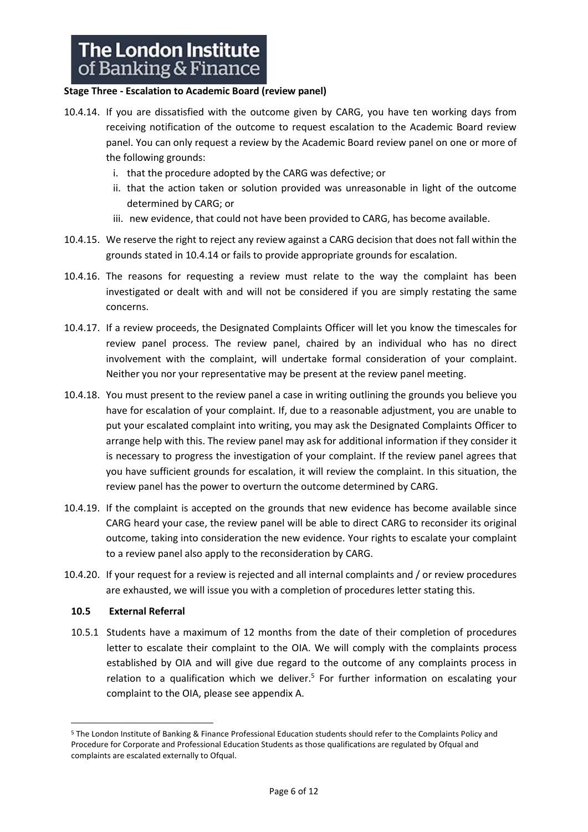## **Stage Three - Escalation to Academic Board (review panel)**

- 10.4.14. If you are dissatisfied with the outcome given by CARG, you have ten working days from receiving notification of the outcome to request escalation to the Academic Board review panel. You can only request a review by the Academic Board review panel on one or more of the following grounds:
	- i. that the procedure adopted by the CARG was defective; or
	- ii. that the action taken or solution provided was unreasonable in light of the outcome determined by CARG; or
	- iii. new evidence, that could not have been provided to CARG, has become available.
- 10.4.15. We reserve the right to reject any review against a CARG decision that does not fall within the grounds stated in 10.4.14 or fails to provide appropriate grounds for escalation.
- 10.4.16. The reasons for requesting a review must relate to the way the complaint has been investigated or dealt with and will not be considered if you are simply restating the same concerns.
- 10.4.17. If a review proceeds, the Designated Complaints Officer will let you know the timescales for review panel process. The review panel, chaired by an individual who has no direct involvement with the complaint, will undertake formal consideration of your complaint. Neither you nor your representative may be present at the review panel meeting.
- 10.4.18. You must present to the review panel a case in writing outlining the grounds you believe you have for escalation of your complaint. If, due to a reasonable adjustment, you are unable to put your escalated complaint into writing, you may ask the Designated Complaints Officer to arrange help with this. The review panel may ask for additional information if they consider it is necessary to progress the investigation of your complaint. If the review panel agrees that you have sufficient grounds for escalation, it will review the complaint. In this situation, the review panel has the power to overturn the outcome determined by CARG.
- 10.4.19. If the complaint is accepted on the grounds that new evidence has become available since CARG heard your case, the review panel will be able to direct CARG to reconsider its original outcome, taking into consideration the new evidence. Your rights to escalate your complaint to a review panel also apply to the reconsideration by CARG.
- 10.4.20. If your request for a review is rejected and all internal complaints and / or review procedures are exhausted, we will issue you with a completion of procedures letter stating this.

## **10.5 External Referral**

10.5.1 Students have a maximum of 12 months from the date of their completion of procedures letter to escalate their complaint to the OIA. We will comply with the complaints process established by OIA and will give due regard to the outcome of any complaints process in relation to a qualification which we deliver.<sup>5</sup> For further information on escalating your complaint to the OIA, please see appendix A.

<sup>5</sup> The London Institute of Banking & Finance Professional Education students should refer to the Complaints Policy and Procedure for Corporate and Professional Education Students as those qualifications are regulated by Ofqual and complaints are escalated externally to Ofqual.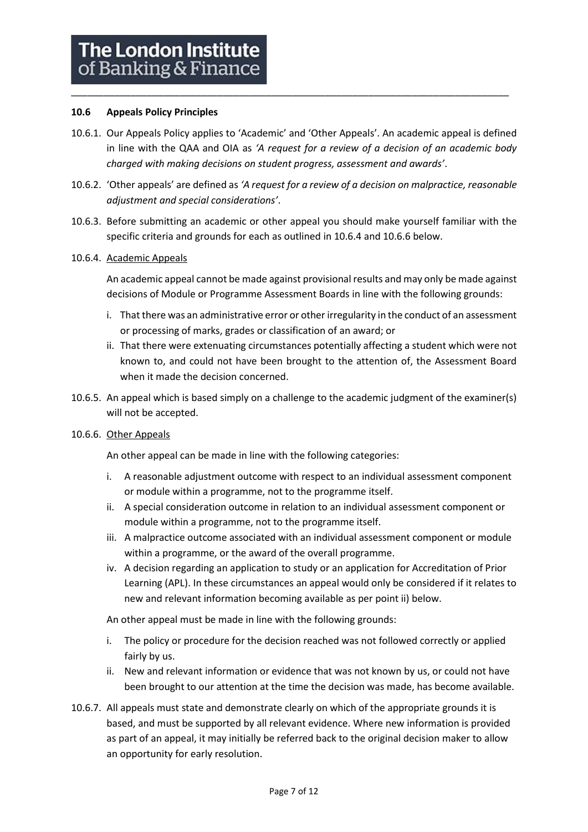## **10.6 Appeals Policy Principles**

10.6.1. Our Appeals Policy applies to 'Academic' and 'Other Appeals'. An academic appeal is defined in line with the QAA and OIA as *'A request for a review of a decision of an academic body charged with making decisions on student progress, assessment and awards'*.

\_\_\_\_\_\_\_\_\_\_\_\_\_\_\_\_\_\_\_\_\_\_\_\_\_\_\_\_\_\_\_\_\_\_\_\_\_\_\_\_\_\_\_\_\_\_\_\_\_\_\_\_\_\_\_\_\_\_\_\_\_\_\_\_\_\_\_\_\_\_\_\_\_\_\_\_\_\_\_\_\_

- 10.6.2. 'Other appeals' are defined as *'A request for a review of a decision on malpractice, reasonable adjustment and special considerations'*.
- 10.6.3. Before submitting an academic or other appeal you should make yourself familiar with the specific criteria and grounds for each as outlined in 10.6.4 and 10.6.6 below.

#### 10.6.4. Academic Appeals

An academic appeal cannot be made against provisional results and may only be made against decisions of Module or Programme Assessment Boards in line with the following grounds:

- i. That there was an administrative error or other irregularity in the conduct of an assessment or processing of marks, grades or classification of an award; or
- ii. That there were extenuating circumstances potentially affecting a student which were not known to, and could not have been brought to the attention of, the Assessment Board when it made the decision concerned.
- 10.6.5. An appeal which is based simply on a challenge to the academic judgment of the examiner(s) will not be accepted.

## 10.6.6. Other Appeals

An other appeal can be made in line with the following categories:

- i. A reasonable adjustment outcome with respect to an individual assessment component or module within a programme, not to the programme itself.
- ii. A special consideration outcome in relation to an individual assessment component or module within a programme, not to the programme itself.
- iii. A malpractice outcome associated with an individual assessment component or module within a programme, or the award of the overall programme.
- iv. A decision regarding an application to study or an application for Accreditation of Prior Learning (APL). In these circumstances an appeal would only be considered if it relates to new and relevant information becoming available as per point ii) below.

An other appeal must be made in line with the following grounds:

- i. The policy or procedure for the decision reached was not followed correctly or applied fairly by us.
- ii. New and relevant information or evidence that was not known by us, or could not have been brought to our attention at the time the decision was made, has become available.
- 10.6.7. All appeals must state and demonstrate clearly on which of the appropriate grounds it is based, and must be supported by all relevant evidence. Where new information is provided as part of an appeal, it may initially be referred back to the original decision maker to allow an opportunity for early resolution.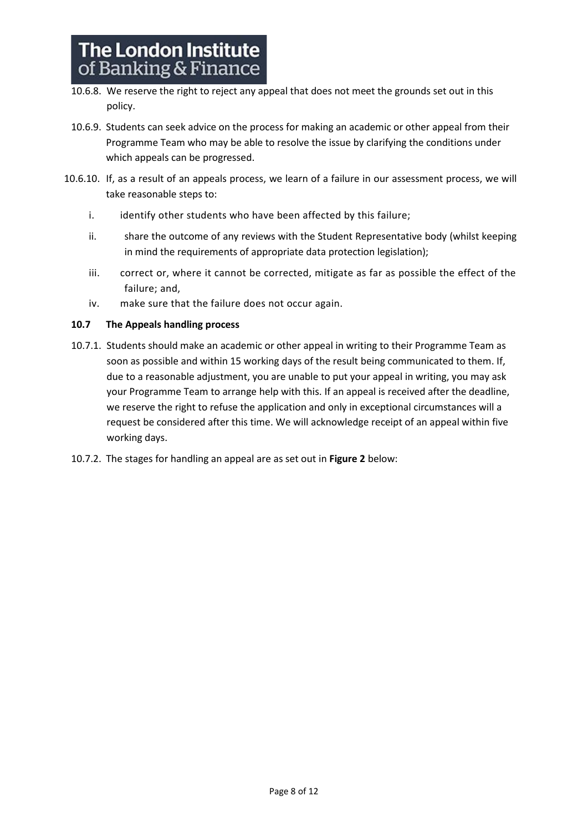- 10.6.8. We reserve the right to reject any appeal that does not meet the grounds set out in this policy.
- 10.6.9. Students can seek advice on the process for making an academic or other appeal from their Programme Team who may be able to resolve the issue by clarifying the conditions under which appeals can be progressed.
- 10.6.10. If, as a result of an appeals process, we learn of a failure in our assessment process, we will take reasonable steps to:
	- i. identify other students who have been affected by this failure;
	- ii. share the outcome of any reviews with the Student Representative body (whilst keeping in mind the requirements of appropriate data protection legislation);
	- iii. correct or, where it cannot be corrected, mitigate as far as possible the effect of the failure; and,
	- iv. make sure that the failure does not occur again.

## **10.7 The Appeals handling process**

- 10.7.1. Students should make an academic or other appeal in writing to their Programme Team as soon as possible and within 15 working days of the result being communicated to them. If, due to a reasonable adjustment, you are unable to put your appeal in writing, you may ask your Programme Team to arrange help with this. If an appeal is received after the deadline, we reserve the right to refuse the application and only in exceptional circumstances will a request be considered after this time. We will acknowledge receipt of an appeal within five working days.
- 10.7.2. The stages for handling an appeal are as set out in **Figure 2** below: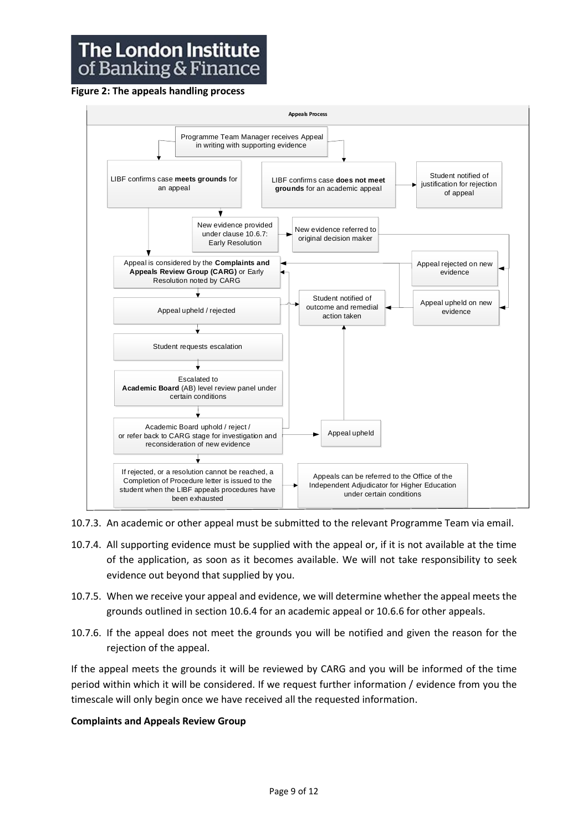## **The London Institute** of Banking & Finance

## **Figure 2: The appeals handling process**



10.7.3. An academic or other appeal must be submitted to the relevant Programme Team via email.

- 10.7.4. All supporting evidence must be supplied with the appeal or, if it is not available at the time of the application, as soon as it becomes available. We will not take responsibility to seek evidence out beyond that supplied by you.
- 10.7.5. When we receive your appeal and evidence, we will determine whether the appeal meets the grounds outlined in section 10.6.4 for an academic appeal or 10.6.6 for other appeals.
- 10.7.6. If the appeal does not meet the grounds you will be notified and given the reason for the rejection of the appeal.

If the appeal meets the grounds it will be reviewed by CARG and you will be informed of the time period within which it will be considered. If we request further information / evidence from you the timescale will only begin once we have received all the requested information.

## **Complaints and Appeals Review Group**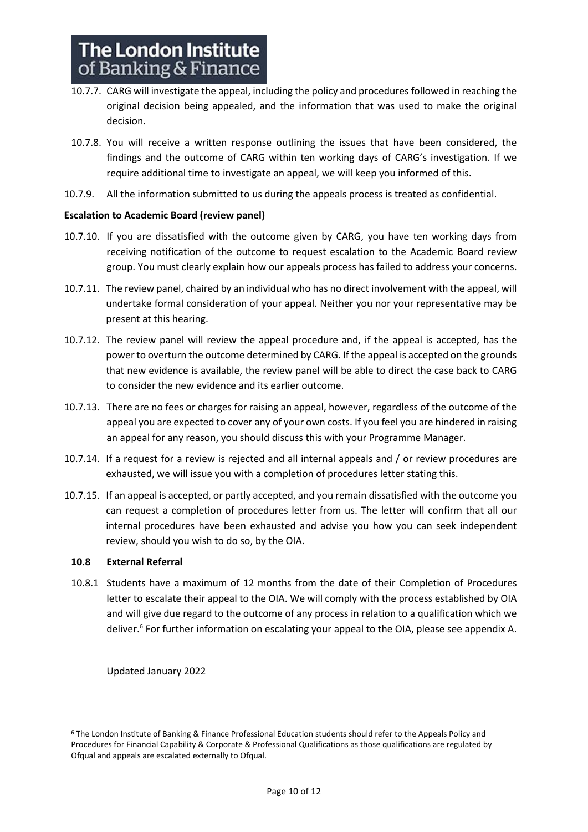- 10.7.7. CARG will investigate the appeal, including the policy and procedures followed in reaching the original decision being appealed, and the information that was used to make the original decision.
- 10.7.8. You will receive a written response outlining the issues that have been considered, the findings and the outcome of CARG within ten working days of CARG's investigation. If we require additional time to investigate an appeal, we will keep you informed of this.
- 10.7.9. All the information submitted to us during the appeals process is treated as confidential.

## **Escalation to Academic Board (review panel)**

- 10.7.10. If you are dissatisfied with the outcome given by CARG, you have ten working days from receiving notification of the outcome to request escalation to the Academic Board review group. You must clearly explain how our appeals process has failed to address your concerns.
- 10.7.11. The review panel, chaired by an individual who has no direct involvement with the appeal, will undertake formal consideration of your appeal. Neither you nor your representative may be present at this hearing.
- 10.7.12. The review panel will review the appeal procedure and, if the appeal is accepted, has the power to overturn the outcome determined by CARG. If the appeal is accepted on the grounds that new evidence is available, the review panel will be able to direct the case back to CARG to consider the new evidence and its earlier outcome.
- 10.7.13. There are no fees or charges for raising an appeal, however, regardless of the outcome of the appeal you are expected to cover any of your own costs. If you feel you are hindered in raising an appeal for any reason, you should discuss this with your Programme Manager.
- 10.7.14. If a request for a review is rejected and all internal appeals and / or review procedures are exhausted, we will issue you with a completion of procedures letter stating this.
- 10.7.15. If an appeal is accepted, or partly accepted, and you remain dissatisfied with the outcome you can request a completion of procedures letter from us. The letter will confirm that all our internal procedures have been exhausted and advise you how you can seek independent review, should you wish to do so, by the OIA.

## **10.8 External Referral**

10.8.1 Students have a maximum of 12 months from the date of their Completion of Procedures letter to escalate their appeal to the OIA. We will comply with the process established by OIA and will give due regard to the outcome of any process in relation to a qualification which we deliver.<sup>6</sup> For further information on escalating your appeal to the OIA, please see appendix A.

Updated January 2022

<sup>6</sup> The London Institute of Banking & Finance Professional Education students should refer to the Appeals Policy and Procedures for Financial Capability & Corporate & Professional Qualifications as those qualifications are regulated by Ofqual and appeals are escalated externally to Ofqual.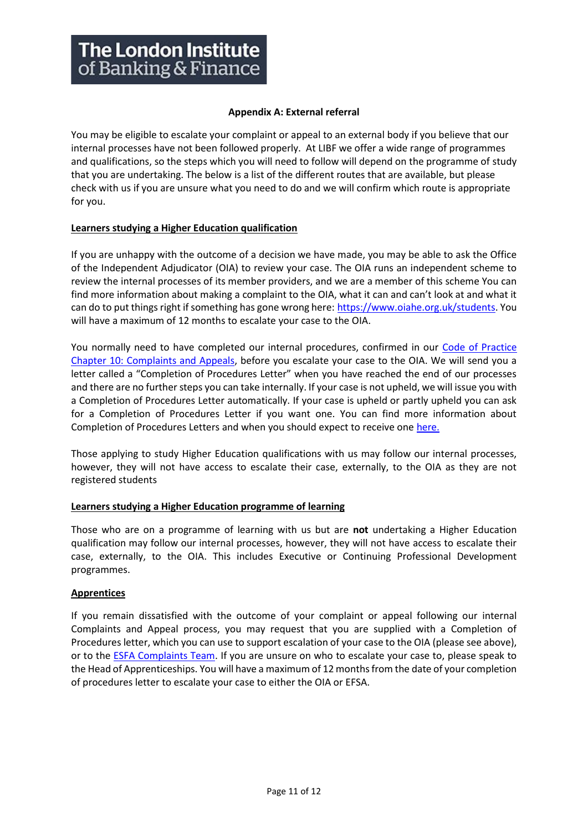## **Appendix A: External referral**

You may be eligible to escalate your complaint or appeal to an external body if you believe that our internal processes have not been followed properly. At LIBF we offer a wide range of programmes and qualifications, so the steps which you will need to follow will depend on the programme of study that you are undertaking. The below is a list of the different routes that are available, but please check with us if you are unsure what you need to do and we will confirm which route is appropriate for you.

## **Learners studying a Higher Education qualification**

If you are unhappy with the outcome of a decision we have made, you may be able to ask the Office of the Independent Adjudicator (OIA) to review your case. The OIA runs an independent scheme to review the internal processes of its member providers, and we are a member of this scheme You can find more information about making a complaint to the OIA, what it can and can't look at and what it can do to put things right if something has gone wrong here: [https://www.oiahe.org.uk/students.](https://www.oiahe.org.uk/students/) You will have a maximum of 12 months to escalate your case to the OIA.

You normally need to have completed our internal procedures, confirmed in our [Code of Practice](https://www.libf.ac.uk/docs/default-source/about-us-docs/code-of-practice/chapter-10-complaints-and-appeals-(reviewed-july-2021-).pdf?sfvrsn=434268d_2)  [Chapter 10: Complaints and Appeals,](https://www.libf.ac.uk/docs/default-source/about-us-docs/code-of-practice/chapter-10-complaints-and-appeals-(reviewed-july-2021-).pdf?sfvrsn=434268d_2) before you escalate your case to the OIA. We will send you a letter called a "Completion of Procedures Letter" when you have reached the end of our processes and there are no further steps you can take internally. If your case is not upheld, we will issue you with a Completion of Procedures Letter automatically. If your case is upheld or partly upheld you can ask for a Completion of Procedures Letter if you want one. You can find more information about Completion of Procedures Letters and when you should expect to receive on[e here.](https://www.oiahe.org.uk/providers/completion-of-procedures%20letters)

Those applying to study Higher Education qualifications with us may follow our internal processes, however, they will not have access to escalate their case, externally, to the OIA as they are not registered students

## **Learners studying a Higher Education programme of learning**

Those who are on a programme of learning with us but are **not** undertaking a Higher Education qualification may follow our internal processes, however, they will not have access to escalate their case, externally, to the OIA. This includes Executive or Continuing Professional Development programmes.

## **Apprentices**

If you remain dissatisfied with the outcome of your complaint or appeal following our internal Complaints and Appeal process, you may request that you are supplied with a Completion of Procedures letter, which you can use to support escalation of your case to the OIA (please see above), or to the [ESFA Complaints Team.](https://www.gov.uk/government/organisations/education-and-skills-funding-agency/about/complaints-procedure) If you are unsure on who to escalate your case to, please speak to the Head of Apprenticeships. You will have a maximum of 12 months from the date of your completion of procedures letter to escalate your case to either the OIA or EFSA.